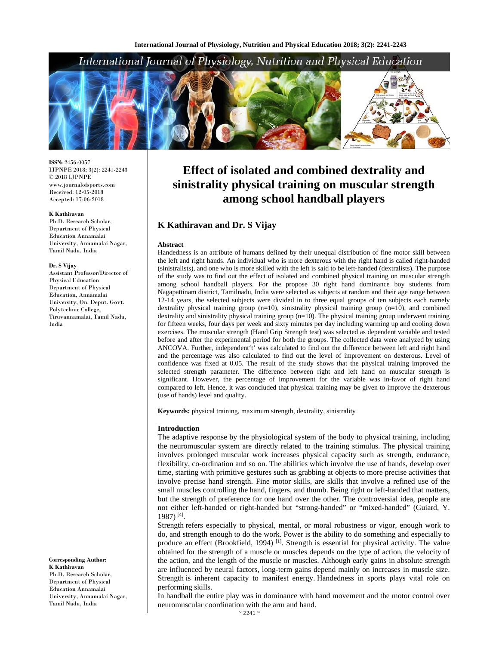# International Journal of Physiology, Nutrition and Physical Education



**ISSN:** 2456-0057 IJPNPE 2018; 3(2): 2241-2243  $\odot$  2018 IJPNPE www.journalofsports.com Received: 12-05-2018 Accepted: 17-06-2018

#### **K Kathiravan**

Ph.D. Research Scholar, Department of Physical Education Annamalai University, Annamalai Nagar, Tamil Nadu, India

#### **Dr. S Vijay**

Assistant Professor/Director of Physical Education Department of Physical Education, Annamalai University, On. Deput. Govt. Polytechnic College, Tiruvannamalai, Tamil Nadu, India

**Corresponding Author: K Kathiravan**  Ph.D. Research Scholar, Department of Physical Education Annamalai University, Annamalai Nagar, Tamil Nadu, India

# **Effect of isolated and combined dextrality and sinistrality physical training on muscular strength among school handball players**

# **K Kathiravan and Dr. S Vijay**

#### **Abstract**

Handedness is an attribute of humans defined by their unequal distribution of fine motor skill between the left and right hands. An individual who is more dexterous with the right hand is called right-handed (sinistralists), and one who is more skilled with the left is said to be left-handed (dextralists). The purpose of the study was to find out the effect of isolated and combined physical training on muscular strength among school handball players. For the propose 30 right hand dominance boy students from Nagapattinam district, Tamilnadu, India were selected as subjects at random and their age range between 12-14 years, the selected subjects were divided in to three equal groups of ten subjects each namely dextrality physical training group (n=10), sinistrality physical training group (n=10), and combined dextrality and sinistrality physical training group  $(n=10)$ . The physical training group underwent training for fifteen weeks, four days per week and sixty minutes per day including warming up and cooling down exercises. The muscular strength (Hand Grip Strength test) was selected as dependent variable and tested before and after the experimental period for both the groups. The collected data were analyzed by using ANCOVA. Further, independent't' was calculated to find out the difference between left and right hand and the percentage was also calculated to find out the level of improvement on dexterous. Level of confidence was fixed at 0.05. The result of the study shows that the physical training improved the selected strength parameter. The difference between right and left hand on muscular strength is significant. However, the percentage of improvement for the variable was in-favor of right hand compared to left. Hence, it was concluded that physical training may be given to improve the dexterous (use of hands) level and quality.

**Keywords:** physical training, maximum strength, dextrality, sinistrality

### **Introduction**

The adaptive response by the physiological system of the body to physical training, including the neuromuscular system are directly related to the training stimulus. The physical training involves prolonged muscular work increases physical capacity such as strength, endurance, flexibility, co-ordination and so on. The abilities which involve the use of hands, develop over time, starting with primitive gestures such as grabbing at objects to more precise activities that involve precise hand strength. Fine motor skills, are skills that involve a refined use of the small muscles controlling the hand, fingers, and thumb. Being right or left-handed that matters, but the strength of preference for one hand over the other. The controversial idea, people are not either left-handed or right-handed but "strong-handed" or "mixed-handed" (Guiard, Y. 1987) [4].

Strength refers especially to physical, mental, or moral robustness or vigor, enough work to do, and strength enough to do the work. Power is the ability to do something and especially to produce an effect (Brookfield, 1994)<sup>[1]</sup>. Strength is essential for physical activity. The value obtained for the strength of a muscle or muscles depends on the type of action, the velocity of the action, and the length of the muscle or muscles. Although early gains in absolute strength are influenced by neural factors, long-term gains depend mainly on increases in muscle size. Strength is inherent capacity to manifest energy. Handedness in sports plays vital role on performing skills.

In handball the entire play was in dominance with hand movement and the motor control over neuromuscular coordination with the arm and hand.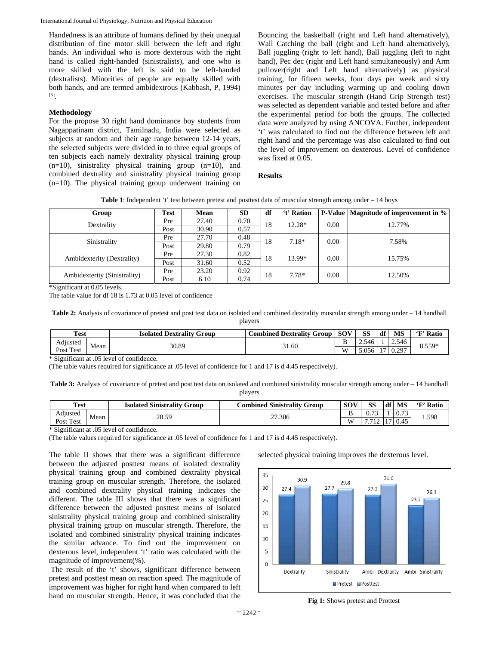International Journal of Physiology, Nutrition and Physical Education

Handedness is an attribute of humans defined by their unequal distribution of fine motor skill between the left and right hands. An individual who is more dexterous with the right hand is called right-handed (sinistralists), and one who is more skilled with the left is said to be left-handed (dextralists). Minorities of people are equally skilled with both hands, and are termed ambidextrous (Kabbash, P, 1994) [5].

# **Methodology**

For the propose 30 right hand dominance boy students from Nagappatinam district, Tamilnadu, India were selected as subjects at random and their age range between 12-14 years, the selected subjects were divided in to three equal groups of ten subjects each namely dextrality physical training group  $(n=10)$ , sinistrality physical training group  $(n=10)$ , and combined dextrality and sinistrality physical training group (n=10). The physical training group underwent training on Bouncing the basketball (right and Left hand alternatively), Wall Catching the ball (right and Left hand alternatively), Ball juggling (right to left hand), Ball juggling (left to right hand), Pec dec (right and Left hand simultaneously) and Arm pullover(right and Left hand alternatively) as physical training, for fifteen weeks, four days per week and sixty minutes per day including warming up and cooling down exercises. The muscular strength (Hand Grip Strength test) was selected as dependent variable and tested before and after the experimental period for both the groups. The collected data were analyzed by using ANCOVA. Further, independent 't' was calculated to find out the difference between left and right hand and the percentage was also calculated to find out the level of improvement on dexterous. Level of confidence was fixed at 0.05.

# **Results**

**Table 1**: Independent 't' test between pretest and posttest data of muscular strength among under – 14 boys

| Group                        | <b>Test</b> | Mean  | <b>SD</b> | df | 't' Ration |      | <b>P-Value</b>   Magnitude of improvement in % |  |  |
|------------------------------|-------------|-------|-----------|----|------------|------|------------------------------------------------|--|--|
| Dextrality                   | Pre         | 27.40 | 0.70      | 18 | $12.28*$   | 0.00 | 12.77%                                         |  |  |
|                              | Post        | 30.90 | 0.57      |    |            |      |                                                |  |  |
| Sinistrality                 | Pre         | 27.70 | 0.48      | 18 | 7.18*      | 0.00 | 7.58%                                          |  |  |
|                              | Post        | 29.80 | 0.79      |    |            |      |                                                |  |  |
| Ambidexterity (Dextrality)   | Pre         | 27.30 | 0.82      | 18 | 13.99*     | 0.00 | 15.75%                                         |  |  |
|                              | Post        | 31.60 | 0.52      |    |            |      |                                                |  |  |
| Ambidexterity (Sinistrality) | Pre         | 23.20 | 0.92      | 18 | 7.78*      | 0.00 | 12.50%                                         |  |  |
|                              | Post        | 6.10  | 0.74      |    |            |      |                                                |  |  |

\*Significant at 0.05 levels.

The table value for df 18 is 1.73 at 0.05 level of confidence

Table 2: Analysis of covariance of pretest and post test data on isolated and combined dextrality muscular strength among under – 14 handball players

| <b>Test</b>                                                      |  | <b>Isolated Dextrality Group</b> | <b>Combined Dextrality Group</b> | <b>SOV</b> | SS           | df    | <b>MS</b> | 'F' Ratio |
|------------------------------------------------------------------|--|----------------------------------|----------------------------------|------------|--------------|-------|-----------|-----------|
| $\cdots$<br>Adjusted<br>Mean<br>$\pm$ Test<br>$P_{\text{OSt}}$ . |  | 30.89                            | 31.60                            | ്          | .546<br>ر. ۔ |       | 2.546     | $8.559*$  |
|                                                                  |  |                                  | W                                | 5.056      |              | 0.297 |           |           |

\* Significant at .05 level of confidence.

(The table values required for significance at .05 level of confidence for 1 and 17 is d 4.45 respectively).

**Table 3:** Analysis of covariance of pretest and post test data on isolated and combined sinistrality muscular strength among under – 14 handball players

|                      | Test<br>d Sinistrality Group<br>Isolated |       | $\sim$<br>l Sinistrality (<br>Group<br>.'ombined | <b>SOV</b> | SS             | df MS | 'F' Ratio |
|----------------------|------------------------------------------|-------|--------------------------------------------------|------------|----------------|-------|-----------|
| $\cdots$<br>Adıusted | Mean                                     | 28.59 | 27.306                                           | -          | $\sim$<br>v. 1 | 0.73  | 1.598     |
| Test<br>Post.        |                                          |       | $\mathbf{W}$                                     | 7710<br>∸  | 0.45           |       |           |

\* Significant at .05 level of confidence.

(The table values required for significance at .05 level of confidence for 1 and 17 is d 4.45 respectively).

The table II shows that there was a significant difference between the adjusted posttest means of isolated dextrality physical training group and combined dextrality physical training group on muscular strength. Therefore, the isolated and combined dextrality physical training indicates the different. The table III shows that there was a significant difference between the adjusted posttest means of isolated sinistrality physical training group and combined sinistrality physical training group on muscular strength. Therefore, the isolated and combined sinistrality physical training indicates the similar advance. To find out the improvement on dexterous level, independent 't' ratio was calculated with the magnitude of improvement(%).

 The result of the 't' shows, significant difference between pretest and posttest mean on reaction speed. The magnitude of improvement was higher for right hand when compared to left hand on muscular strength. Hence, it was concluded that the

selected physical training improves the dexterous level.



**Fig 1:** Shows pretest and Prottest